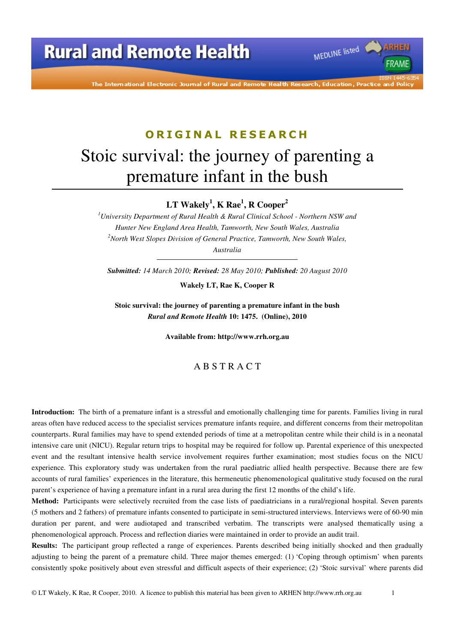

The International Electronic Journal of Rural and Remote Health Research, Education, Practice and Polic

# **O R I G I N A L R E S E A R C H** Stoic survival: the journey of parenting a premature infant in the bush

**LT Wakely<sup>1</sup> , K Rae<sup>1</sup> , R Cooper<sup>2</sup>**

*<sup>1</sup>University Department of Rural Health & Rural Clinical School - Northern NSW and Hunter New England Area Health, Tamworth, New South Wales, Australia <sup>2</sup>North West Slopes Division of General Practice, Tamworth, New South Wales, Australia* 

*Submitted: 14 March 2010; Revised: 28 May 2010; Published: 20 August 2010* 

**Wakely LT, Rae K, Cooper R** 

**Stoic survival: the journey of parenting a premature infant in the bush**  *Rural and Remote Health* **10: 1475. (Online), 2010** 

**Available from: http://www.rrh.org.au** 

#### A B S T R A C T

**Introduction:** The birth of a premature infant is a stressful and emotionally challenging time for parents. Families living in rural areas often have reduced access to the specialist services premature infants require, and different concerns from their metropolitan counterparts. Rural families may have to spend extended periods of time at a metropolitan centre while their child is in a neonatal intensive care unit (NICU). Regular return trips to hospital may be required for follow up. Parental experience of this unexpected event and the resultant intensive health service involvement requires further examination; most studies focus on the NICU experience. This exploratory study was undertaken from the rural paediatric allied health perspective. Because there are few accounts of rural families' experiences in the literature, this hermeneutic phenomenological qualitative study focused on the rural parent's experience of having a premature infant in a rural area during the first 12 months of the child's life.

**Method:** Participants were selectively recruited from the case lists of paediatricians in a rural/regional hospital. Seven parents (5 mothers and 2 fathers) of premature infants consented to participate in semi-structured interviews. Interviews were of 60-90 min duration per parent, and were audiotaped and transcribed verbatim. The transcripts were analysed thematically using a phenomenological approach. Process and reflection diaries were maintained in order to provide an audit trail.

**Results:** The participant group reflected a range of experiences. Parents described being initially shocked and then gradually adjusting to being the parent of a premature child. Three major themes emerged: (1) 'Coping through optimism' when parents consistently spoke positively about even stressful and difficult aspects of their experience; (2) 'Stoic survival' where parents did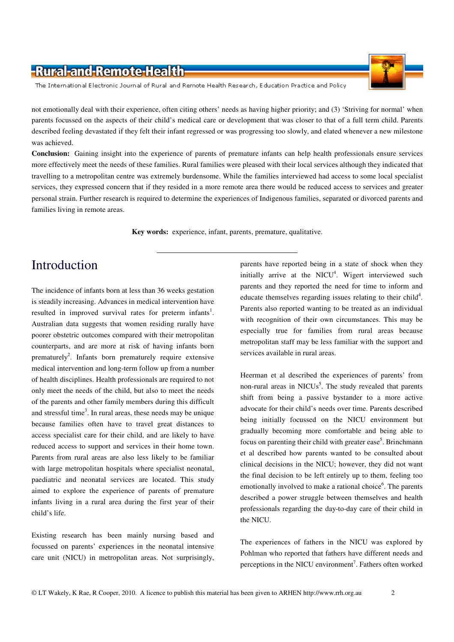The International Electronic Journal of Rural and Remote Health Research, Education Practice and Policy

not emotionally deal with their experience, often citing others' needs as having higher priority; and (3) 'Striving for normal' when parents focussed on the aspects of their child's medical care or development that was closer to that of a full term child. Parents described feeling devastated if they felt their infant regressed or was progressing too slowly, and elated whenever a new milestone was achieved.

**Conclusion:** Gaining insight into the experience of parents of premature infants can help health professionals ensure services more effectively meet the needs of these families. Rural families were pleased with their local services although they indicated that travelling to a metropolitan centre was extremely burdensome. While the families interviewed had access to some local specialist services, they expressed concern that if they resided in a more remote area there would be reduced access to services and greater personal strain. Further research is required to determine the experiences of Indigenous families, separated or divorced parents and families living in remote areas.

**Key words:** experience, infant, parents, premature, qualitative.

### Introduction

The incidence of infants born at less than 36 weeks gestation is steadily increasing. Advances in medical intervention have resulted in improved survival rates for preterm infants<sup>1</sup>. Australian data suggests that women residing rurally have poorer obstetric outcomes compared with their metropolitan counterparts, and are more at risk of having infants born prematurely<sup>2</sup>. Infants born prematurely require extensive medical intervention and long-term follow up from a number of health disciplines. Health professionals are required to not only meet the needs of the child, but also to meet the needs of the parents and other family members during this difficult and stressful time<sup>3</sup>. In rural areas, these needs may be unique because families often have to travel great distances to access specialist care for their child, and are likely to have reduced access to support and services in their home town. Parents from rural areas are also less likely to be familiar with large metropolitan hospitals where specialist neonatal, paediatric and neonatal services are located. This study aimed to explore the experience of parents of premature infants living in a rural area during the first year of their child's life.

Existing research has been mainly nursing based and focussed on parents' experiences in the neonatal intensive care unit (NICU) in metropolitan areas. Not surprisingly, parents have reported being in a state of shock when they initially arrive at the NICU $4$ . Wigert interviewed such parents and they reported the need for time to inform and educate themselves regarding issues relating to their child<sup>4</sup>. Parents also reported wanting to be treated as an individual with recognition of their own circumstances. This may be especially true for families from rural areas because metropolitan staff may be less familiar with the support and services available in rural areas.

Heerman et al described the experiences of parents' from non-rural areas in NICUs<sup>5</sup>. The study revealed that parents shift from being a passive bystander to a more active advocate for their child's needs over time. Parents described being initially focussed on the NICU environment but gradually becoming more comfortable and being able to focus on parenting their child with greater ease<sup>5</sup>. Brinchmann et al described how parents wanted to be consulted about clinical decisions in the NICU; however, they did not want the final decision to be left entirely up to them, feeling too emotionally involved to make a rational choice<sup>6</sup>. The parents described a power struggle between themselves and health professionals regarding the day-to-day care of their child in the NICU.

The experiences of fathers in the NICU was explored by Pohlman who reported that fathers have different needs and perceptions in the NICU environment<sup>7</sup>. Fathers often worked

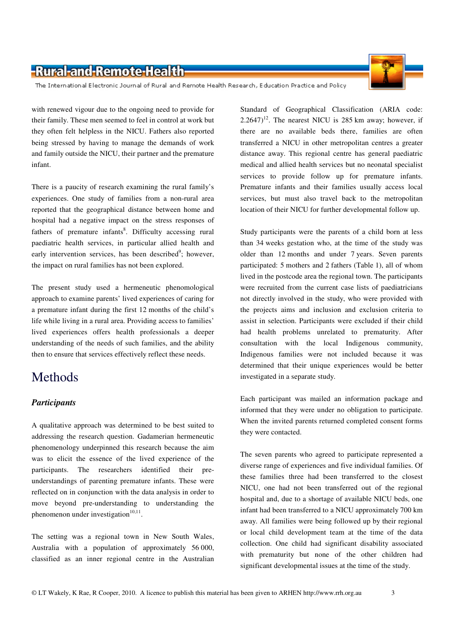The International Electronic Journal of Rural and Remote Health Research, Education Practice and Policy

with renewed vigour due to the ongoing need to provide for their family. These men seemed to feel in control at work but they often felt helpless in the NICU. Fathers also reported being stressed by having to manage the demands of work and family outside the NICU, their partner and the premature infant.

There is a paucity of research examining the rural family's experiences. One study of families from a non-rural area reported that the geographical distance between home and hospital had a negative impact on the stress responses of fathers of premature infants<sup>8</sup>. Difficulty accessing rural paediatric health services, in particular allied health and early intervention services, has been described<sup>9</sup>; however, the impact on rural families has not been explored.

The present study used a hermeneutic phenomological approach to examine parents' lived experiences of caring for a premature infant during the first 12 months of the child's life while living in a rural area. Providing access to families' lived experiences offers health professionals a deeper understanding of the needs of such families, and the ability then to ensure that services effectively reflect these needs.

#### Methods

#### *Participants*

A qualitative approach was determined to be best suited to addressing the research question. Gadamerian hermeneutic phenomenology underpinned this research because the aim was to elicit the essence of the lived experience of the participants. The researchers identified their preunderstandings of parenting premature infants. These were reflected on in conjunction with the data analysis in order to move beyond pre-understanding to understanding the phenomenon under investigation $10,11$ .

The setting was a regional town in New South Wales, Australia with a population of approximately 56 000, classified as an inner regional centre in the Australian

Standard of Geographical Classification (ARIA code: 2.2647)<sup>12</sup>. The nearest NICU is 285 km away; however, if there are no available beds there, families are often transferred a NICU in other metropolitan centres a greater distance away. This regional centre has general paediatric medical and allied health services but no neonatal specialist services to provide follow up for premature infants. Premature infants and their families usually access local services, but must also travel back to the metropolitan location of their NICU for further developmental follow up.

Study participants were the parents of a child born at less than 34 weeks gestation who, at the time of the study was older than 12 months and under 7 years. Seven parents participated: 5 mothers and 2 fathers (Table 1), all of whom lived in the postcode area the regional town. The participants were recruited from the current case lists of paediatricians not directly involved in the study, who were provided with the projects aims and inclusion and exclusion criteria to assist in selection. Participants were excluded if their child had health problems unrelated to prematurity. After consultation with the local Indigenous community, Indigenous families were not included because it was determined that their unique experiences would be better investigated in a separate study.

Each participant was mailed an information package and informed that they were under no obligation to participate. When the invited parents returned completed consent forms they were contacted.

The seven parents who agreed to participate represented a diverse range of experiences and five individual families. Of these families three had been transferred to the closest NICU, one had not been transferred out of the regional hospital and, due to a shortage of available NICU beds, one infant had been transferred to a NICU approximately 700 km away. All families were being followed up by their regional or local child development team at the time of the data collection. One child had significant disability associated with prematurity but none of the other children had significant developmental issues at the time of the study.

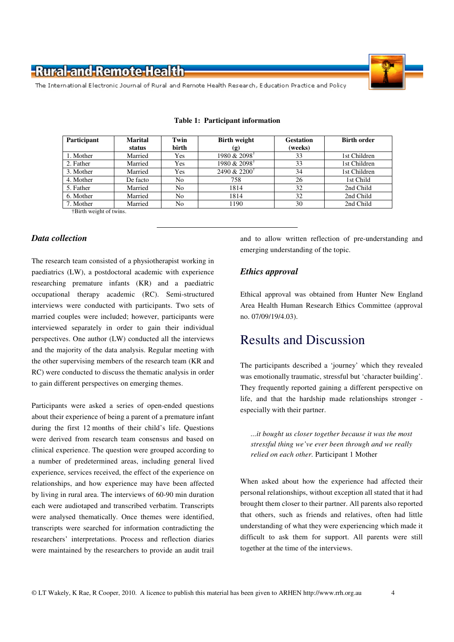

The International Electronic Journal of Rural and Remote Health Research, Education Practice and Policy

| Participant                                                      | <b>Marital</b> | Twin           | <b>Birth weight</b>                         | <b>Gestation</b> | <b>Birth order</b> |
|------------------------------------------------------------------|----------------|----------------|---------------------------------------------|------------------|--------------------|
|                                                                  | status         | birth          | (g)                                         | (weeks)          |                    |
| 1. Mother                                                        | Married        | Yes            | 1980 & $2098^{\dagger}$                     | 33               | 1st Children       |
| 2. Father                                                        | Married        | Yes            | $1980 \& 2098^{\dagger}$                    | 33               | 1st Children       |
| 3. Mother                                                        | Married        | Yes            | 2490 & 2200 <sup><math>\dagger</math></sup> | 34               | 1st Children       |
| 4. Mother                                                        | De facto       | N <sub>0</sub> | 758                                         | 26               | 1st Child          |
| 5. Father                                                        | Married        | N <sub>0</sub> | 1814                                        | 32               | 2nd Child          |
| 6. Mother                                                        | Married        | No             | 1814                                        | 32               | 2nd Child          |
| 7. Mother                                                        | Married        | No             | 1190                                        | 30               | 2nd Child          |
| <b>Example 1-1</b> Figure 1-1 Telection + Birth weight of twins. |                |                |                                             |                  |                    |

#### **Table 1: Participant information**

†Birth weight of twins.

#### *Data collection*

The research team consisted of a physiotherapist working in paediatrics (LW), a postdoctoral academic with experience researching premature infants (KR) and a paediatric occupational therapy academic (RC). Semi-structured interviews were conducted with participants. Two sets of married couples were included; however, participants were interviewed separately in order to gain their individual perspectives. One author (LW) conducted all the interviews and the majority of the data analysis. Regular meeting with the other supervising members of the research team (KR and RC) were conducted to discuss the thematic analysis in order to gain different perspectives on emerging themes.

Participants were asked a series of open-ended questions about their experience of being a parent of a premature infant during the first 12 months of their child's life. Questions were derived from research team consensus and based on clinical experience. The question were grouped according to a number of predetermined areas, including general lived experience, services received, the effect of the experience on relationships, and how experience may have been affected by living in rural area. The interviews of 60-90 min duration each were audiotaped and transcribed verbatim. Transcripts were analysed thematically. Once themes were identified, transcripts were searched for information contradicting the researchers' interpretations. Process and reflection diaries were maintained by the researchers to provide an audit trail

and to allow written reflection of pre-understanding and emerging understanding of the topic.

#### *Ethics approval*

Ethical approval was obtained from Hunter New England Area Health Human Research Ethics Committee (approval no. 07/09/19/4.03).

#### Results and Discussion

The participants described a 'journey' which they revealed was emotionally traumatic, stressful but 'character building'. They frequently reported gaining a different perspective on life, and that the hardship made relationships stronger especially with their partner.

*...it bought us closer together because it was the most stressful thing we've ever been through and we really relied on each other.* Participant 1 Mother

When asked about how the experience had affected their personal relationships, without exception all stated that it had brought them closer to their partner. All parents also reported that others, such as friends and relatives, often had little understanding of what they were experiencing which made it difficult to ask them for support. All parents were still together at the time of the interviews.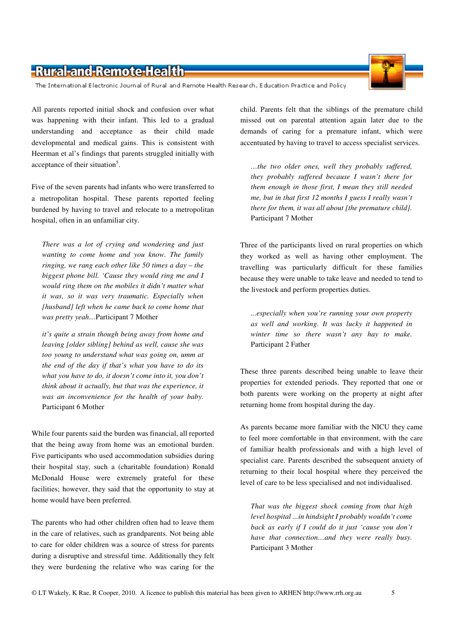The International Electronic Journal of Rural and Remote Health Research, Education Practice and Policy

All parents reported initial shock and confusion over what was happening with their infant. This led to a gradual understanding and acceptance as their child made developmental and medical gains. This is consistent with Heerman et al's findings that parents struggled initially with acceptance of their situation<sup>5</sup>.

Five of the seven parents had infants who were transferred to a metropolitan hospital. These parents reported feeling burdened by having to travel and relocate to a metropolitan hospital, often in an unfamiliar city.

*There was a lot of crying and wondering and just wanting to come home and you know. The family ringing, we rang each other like 50 times a day – the biggest phone bill. 'Cause they would ring me and I would ring them on the mobiles it didn't matter what it was, so it was very traumatic. Especially when [husband] left when he came back to come home that was pretty yeah…*Participant 7 Mother

*it's quite a strain though being away from home and leaving [older sibling] behind as well, cause she was too young to understand what was going on, umm at the end of the day if that's what you have to do its what you have to do, it doesn't come into it, you don't think about it actually, but that was the experience, it was an inconvenience for the health of your baby.*  Participant 6 Mother

While four parents said the burden was financial, all reported that the being away from home was an emotional burden. Five participants who used accommodation subsidies during their hospital stay, such a (charitable foundation) Ronald McDonald House were extremely grateful for these facilities; however, they said that the opportunity to stay at home would have been preferred.

The parents who had other children often had to leave them in the care of relatives, such as grandparents. Not being able to care for older children was a source of stress for parents during a disruptive and stressful time. Additionally they felt they were burdening the relative who was caring for the

child. Parents felt that the siblings of the premature child missed out on parental attention again later due to the demands of caring for a premature infant, which were accentuated by having to travel to access specialist services.

*…the two older ones, well they probably suffered, they probably suffered because I wasn't there for them enough in those first, I mean they still needed me, but in that first 12 months I guess I really wasn't there for them, it was all about [the premature child].*  Participant 7 Mother

Three of the participants lived on rural properties on which they worked as well as having other employment. The travelling was particularly difficult for these families because they were unable to take leave and needed to tend to the livestock and perform properties duties.

*...especially when you're running your own property as well and working. It was lucky it happened in winter time so there wasn't any hay to make.*  Participant 2 Father

These three parents described being unable to leave their properties for extended periods. They reported that one or both parents were working on the property at night after returning home from hospital during the day.

As parents became more familiar with the NICU they came to feel more comfortable in that environment, with the care of familiar health professionals and with a high level of specialist care. Parents described the subsequent anxiety of returning to their local hospital where they perceived the level of care to be less specialised and not individualised.

*That was the biggest shock coming from that high level hospital ...in hindsight I probably wouldn't come back as early if I could do it just 'cause you don't have that connection…and they were really busy.*  Participant 3 Mother

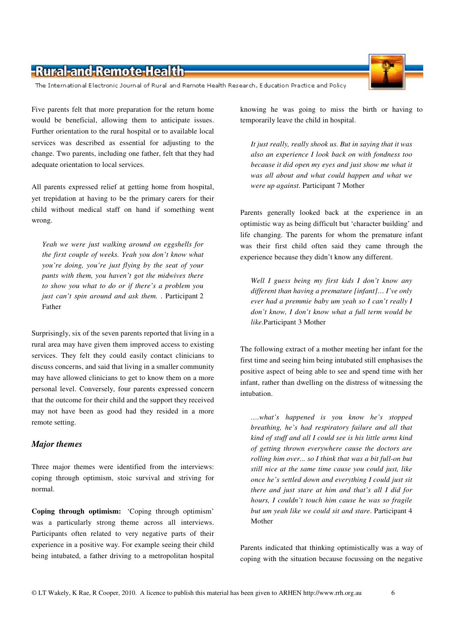The International Electronic Journal of Rural and Remote Health Research, Education Practice and Policy

Five parents felt that more preparation for the return home would be beneficial, allowing them to anticipate issues. Further orientation to the rural hospital or to available local services was described as essential for adjusting to the change. Two parents, including one father, felt that they had adequate orientation to local services.

All parents expressed relief at getting home from hospital, yet trepidation at having to be the primary carers for their child without medical staff on hand if something went wrong.

*Yeah we were just walking around on eggshells for the first couple of weeks. Yeah you don't know what you're doing, you're just flying by the seat of your pants with them, you haven't got the midwives there to show you what to do or if there's a problem you just can't spin around and ask them.* . Participant 2 Father

Surprisingly, six of the seven parents reported that living in a rural area may have given them improved access to existing services. They felt they could easily contact clinicians to discuss concerns, and said that living in a smaller community may have allowed clinicians to get to know them on a more personal level. Conversely, four parents expressed concern that the outcome for their child and the support they received may not have been as good had they resided in a more remote setting.

#### *Major themes*

Three major themes were identified from the interviews: coping through optimism, stoic survival and striving for normal.

**Coping through optimism:** 'Coping through optimism' was a particularly strong theme across all interviews. Participants often related to very negative parts of their experience in a positive way. For example seeing their child being intubated, a father driving to a metropolitan hospital knowing he was going to miss the birth or having to temporarily leave the child in hospital.

*It just really, really shook us. But in saying that it was also an experience I look back on with fondness too because it did open my eyes and just show me what it was all about and what could happen and what we were up against.* Participant 7 Mother

Parents generally looked back at the experience in an optimistic way as being difficult but 'character building' and life changing. The parents for whom the premature infant was their first child often said they came through the experience because they didn't know any different.

*Well I guess being my first kids I don't know any different than having a premature [infant]… I've only ever had a premmie baby um yeah so I can't really I don't know, I don't know what a full term would be like.*Participant 3 Mother

The following extract of a mother meeting her infant for the first time and seeing him being intubated still emphasises the positive aspect of being able to see and spend time with her infant, rather than dwelling on the distress of witnessing the intubation.

*….what's happened is you know he's stopped breathing, he's had respiratory failure and all that kind of stuff and all I could see is his little arms kind of getting thrown everywhere cause the doctors are rolling him over... so I think that was a bit full-on but still nice at the same time cause you could just, like once he's settled down and everything I could just sit there and just stare at him and that's all I did for hours, I couldn't touch him cause he was so fragile but um yeah like we could sit and stare*. Participant 4 Mother

Parents indicated that thinking optimistically was a way of coping with the situation because focussing on the negative

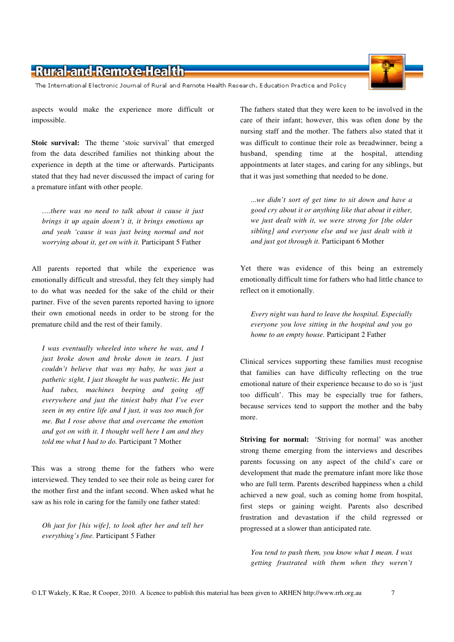The International Electronic Journal of Rural and Remote Health Research, Education Practice and Policy

aspects would make the experience more difficult or impossible.

**Stoic survival:** The theme 'stoic survival' that emerged from the data described families not thinking about the experience in depth at the time or afterwards. Participants stated that they had never discussed the impact of caring for a premature infant with other people.

*….there was no need to talk about it cause it just brings it up again doesn't it, it brings emotions up and yeah 'cause it was just being normal and not worrying about it, get on with it.* Participant 5 Father

All parents reported that while the experience was emotionally difficult and stressful, they felt they simply had to do what was needed for the sake of the child or their partner. Five of the seven parents reported having to ignore their own emotional needs in order to be strong for the premature child and the rest of their family.

*I was eventually wheeled into where he was, and I just broke down and broke down in tears. I just couldn't believe that was my baby, he was just a pathetic sight, I just thought he was pathetic. He just had tubes, machines beeping and going off everywhere and just the tiniest baby that I've ever seen in my entire life and I just, it was too much for me. But I rose above that and overcame the emotion and got on with it. I thought well here I am and they told me what I had to do.* Participant 7 Mother

This was a strong theme for the fathers who were interviewed. They tended to see their role as being carer for the mother first and the infant second. When asked what he saw as his role in caring for the family one father stated:

*Oh just for [his wife], to look after her and tell her everything's fine.* Participant 5 Father

The fathers stated that they were keen to be involved in the care of their infant; however, this was often done by the nursing staff and the mother. The fathers also stated that it was difficult to continue their role as breadwinner, being a husband, spending time at the hospital, attending appointments at later stages, and caring for any siblings, but that it was just something that needed to be done.

*...we didn't sort of get time to sit down and have a good cry about it or anything like that about it either, we just dealt with it, we were strong for [the older sibling] and everyone else and we just dealt with it and just got through it.* Participant 6 Mother

Yet there was evidence of this being an extremely emotionally difficult time for fathers who had little chance to reflect on it emotionally.

*Every night was hard to leave the hospital. Especially everyone you love sitting in the hospital and you go home to an empty house.* Participant 2 Father

Clinical services supporting these families must recognise that families can have difficulty reflecting on the true emotional nature of their experience because to do so is 'just too difficult'. This may be especially true for fathers, because services tend to support the mother and the baby more.

**Striving for normal:** 'Striving for normal' was another strong theme emerging from the interviews and describes parents focussing on any aspect of the child's care or development that made the premature infant more like those who are full term. Parents described happiness when a child achieved a new goal, such as coming home from hospital, first steps or gaining weight. Parents also described frustration and devastation if the child regressed or progressed at a slower than anticipated rate.

*You tend to push them, you know what I mean. I was getting frustrated with them when they weren't* 

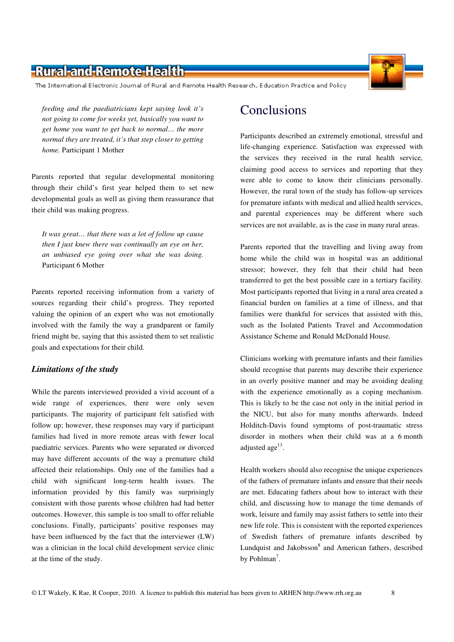The International Electronic Journal of Rural and Remote Health Research, Education Practice and Policy

*feeding and the paediatricians kept saying look it's not going to come for weeks yet, basically you want to get home you want to get back to normal… the more normal they are treated, it's that step closer to getting home.* Participant 1 Mother

Parents reported that regular developmental monitoring through their child's first year helped them to set new developmental goals as well as giving them reassurance that their child was making progress.

*It was great… that there was a lot of follow up cause then I just knew there was continually an eye on her, an unbiased eye going over what she was doing.*  Participant 6 Mother

Parents reported receiving information from a variety of sources regarding their child's progress. They reported valuing the opinion of an expert who was not emotionally involved with the family the way a grandparent or family friend might be, saying that this assisted them to set realistic goals and expectations for their child.

#### *Limitations of the study*

While the parents interviewed provided a vivid account of a wide range of experiences, there were only seven participants. The majority of participant felt satisfied with follow up; however, these responses may vary if participant families had lived in more remote areas with fewer local paediatric services. Parents who were separated or divorced may have different accounts of the way a premature child affected their relationships. Only one of the families had a child with significant long-term health issues. The information provided by this family was surprisingly consistent with those parents whose children had had better outcomes. However, this sample is too small to offer reliable conclusions. Finally, participants' positive responses may have been influenced by the fact that the interviewer (LW) was a clinician in the local child development service clinic at the time of the study.

Participants described an extremely emotional, stressful and life-changing experience. Satisfaction was expressed with the services they received in the rural health service, claiming good access to services and reporting that they were able to come to know their clinicians personally. However, the rural town of the study has follow-up services for premature infants with medical and allied health services, and parental experiences may be different where such services are not available, as is the case in many rural areas.

Parents reported that the travelling and living away from home while the child was in hospital was an additional stressor; however, they felt that their child had been transferred to get the best possible care in a tertiary facility. Most participants reported that living in a rural area created a financial burden on families at a time of illness, and that families were thankful for services that assisted with this, such as the Isolated Patients Travel and Accommodation Assistance Scheme and Ronald McDonald House.

Clinicians working with premature infants and their families should recognise that parents may describe their experience in an overly positive manner and may be avoiding dealing with the experience emotionally as a coping mechanism. This is likely to be the case not only in the initial period in the NICU, but also for many months afterwards. Indeed Holditch-Davis found symptoms of post-traumatic stress disorder in mothers when their child was at a 6 month adjusted age<sup>13</sup>.

Health workers should also recognise the unique experiences of the fathers of premature infants and ensure that their needs are met. Educating fathers about how to interact with their child, and discussing how to manage the time demands of work, leisure and family may assist fathers to settle into their new life role. This is consistent with the reported experiences of Swedish fathers of premature infants described by Lundquist and Jakobsson<sup>8</sup> and American fathers, described by Pohlman<sup>7</sup>.

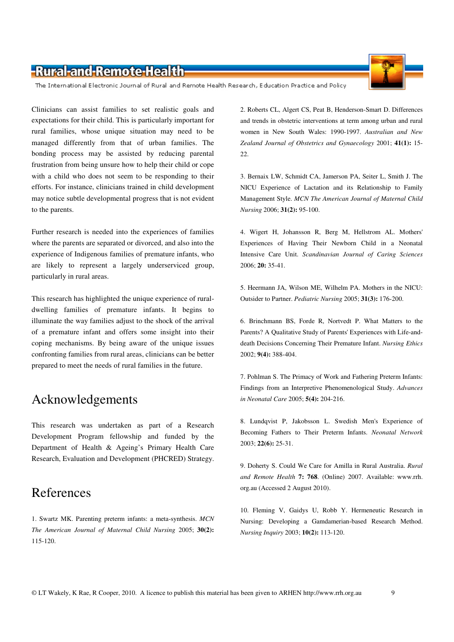The International Electronic Journal of Rural and Remote Health Research, Education Practice and Policy

Clinicians can assist families to set realistic goals and expectations for their child. This is particularly important for rural families, whose unique situation may need to be managed differently from that of urban families. The bonding process may be assisted by reducing parental frustration from being unsure how to help their child or cope with a child who does not seem to be responding to their efforts. For instance, clinicians trained in child development may notice subtle developmental progress that is not evident to the parents.

Further research is needed into the experiences of families where the parents are separated or divorced, and also into the experience of Indigenous families of premature infants, who are likely to represent a largely underserviced group, particularly in rural areas.

This research has highlighted the unique experience of ruraldwelling families of premature infants. It begins to illuminate the way families adjust to the shock of the arrival of a premature infant and offers some insight into their coping mechanisms. By being aware of the unique issues confronting families from rural areas, clinicians can be better prepared to meet the needs of rural families in the future.

#### Acknowledgements

This research was undertaken as part of a Research Development Program fellowship and funded by the Department of Health & Ageing's Primary Health Care Research, Evaluation and Development (PHCRED) Strategy.

### References

1. Swartz MK. Parenting preterm infants: a meta-synthesis. *MCN The American Journal of Maternal Child Nursing* 2005; **30(2):** 115-120.

2. Roberts CL, Algert CS, Peat B, Henderson-Smart D. Differences and trends in obstetric interventions at term among urban and rural women in New South Wales: 1990-1997. *Australian and New Zealand Journal of Obstetrics and Gynaecology* 2001; **41(1):** 15- 22.

3. Bernaix LW, Schmidt CA, Jamerson PA, Seiter L, Smith J. The NICU Experience of Lactation and its Relationship to Family Management Style. *MCN The American Journal of Maternal Child Nursing* 2006; **31(2):** 95-100.

4. Wigert H, Johansson R, Berg M, Hellstrom AL. Mothers' Experiences of Having Their Newborn Child in a Neonatal Intensive Care Unit. *Scandinavian Journal of Caring Sciences* 2006; **20:** 35-41.

5. Heermann JA, Wilson ME, Wilhelm PA. Mothers in the NICU: Outsider to Partner. *Pediatric Nursing* 2005; **31(3):** 176-200.

6. Brinchmann BS, Forde R, Nortvedt P. What Matters to the Parents? A Qualitative Study of Parents' Experiences with Life-anddeath Decisions Concerning Their Premature Infant. *Nursing Ethics* 2002; **9(4):** 388-404.

7. Pohlman S. The Primacy of Work and Fathering Preterm Infants: Findings from an Interpretive Phenomenological Study. *Advances in Neonatal Care* 2005; **5(4):** 204-216.

8. Lundqvist P, Jakobsson L. Swedish Men's Experience of Becoming Fathers to Their Preterm Infants. *Neonatal Network* 2003; **22(6):** 25-31.

9. Doherty S. Could We Care for Amilla in Rural Australia. *Rural and Remote Health* **7: 768**. (Online) 2007. Available: www.rrh. org.au (Accessed 2 August 2010).

10. Fleming V, Gaidys U, Robb Y. Hermeneutic Research in Nursing: Developing a Gamdamerian-based Research Method. *Nursing Inquiry* 2003; **10(2):** 113-120.